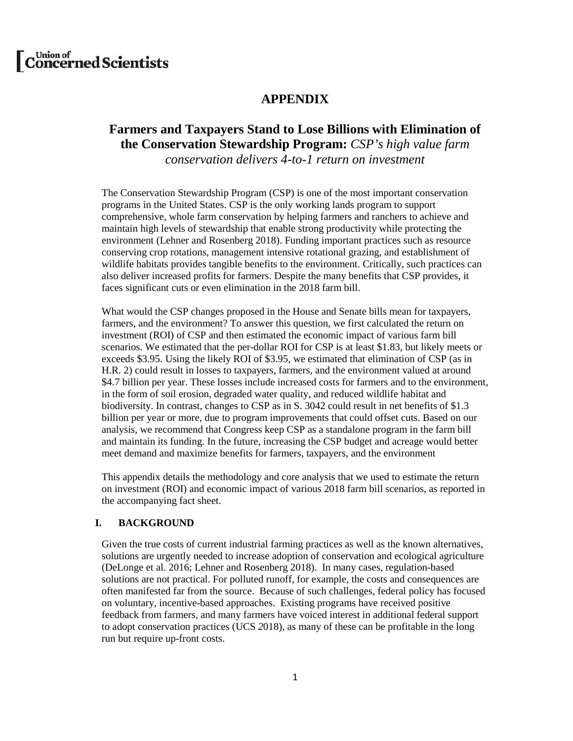# [C<sup>Union of</sup> concerned Scientists

# **APPENDIX**

# **Farmers and Taxpayers Stand to Lose Billions with Elimination of the Conservation Stewardship Program:** *CSP's high value farm*

*conservation delivers 4-to-1 return on investment*

The Conservation Stewardship Program (CSP) is one of the most important conservation programs in the United States. CSP is the only working lands program to support comprehensive, whole farm conservation by helping farmers and ranchers to achieve and maintain high levels of stewardship that enable strong productivity while protecting the environment (Lehner and Rosenberg 2018). Funding important practices such as resource conserving crop rotations, management intensive rotational grazing, and establishment of wildlife habitats provides tangible benefits to the environment. Critically, such practices can also deliver increased profits for farmers. Despite the many benefits that CSP provides, it faces significant cuts or even elimination in the 2018 farm bill.

What would the CSP changes proposed in the House and Senate bills mean for taxpayers, farmers, and the environment? To answer this question, we first calculated the return on investment (ROI) of CSP and then estimated the economic impact of various farm bill scenarios. We estimated that the per-dollar ROI for CSP is at least \$1.83, but likely meets or exceeds \$3.95. Using the likely ROI of \$3.95, we estimated that elimination of CSP (as in H.R. 2) could result in losses to taxpayers, farmers, and the environment valued at around \$4.7 billion per year. These losses include increased costs for farmers and to the environment, in the form of soil erosion, degraded water quality, and reduced wildlife habitat and biodiversity. In contrast, changes to CSP as in S. 3042 could result in net benefits of \$1.3 billion per year or more, due to program improvements that could offset cuts. Based on our analysis, we recommend that Congress keep CSP as a standalone program in the farm bill and maintain its funding. In the future, increasing the CSP budget and acreage would better meet demand and maximize benefits for farmers, taxpayers, and the environment

This appendix details the methodology and core analysis that we used to estimate the return on investment (ROI) and economic impact of various 2018 farm bill scenarios, as reported in the accompanying fact sheet.

# **I. BACKGROUND**

Given the true costs of current industrial farming practices as well as the known alternatives, solutions are urgently needed to increase adoption of conservation and ecological agriculture (DeLonge et al. 2016; Lehner and Rosenberg 2018). In many cases, regulation-based solutions are not practical. For polluted runoff, for example, the costs and consequences are often manifested far from the source. Because of such challenges, federal policy has focused on voluntary, incentive-based approaches. Existing programs have received positive feedback from farmers, and many farmers have voiced interest in additional federal support to adopt conservation practices (UCS *2*018), as many of these can be profitable in the long run but require up-front costs.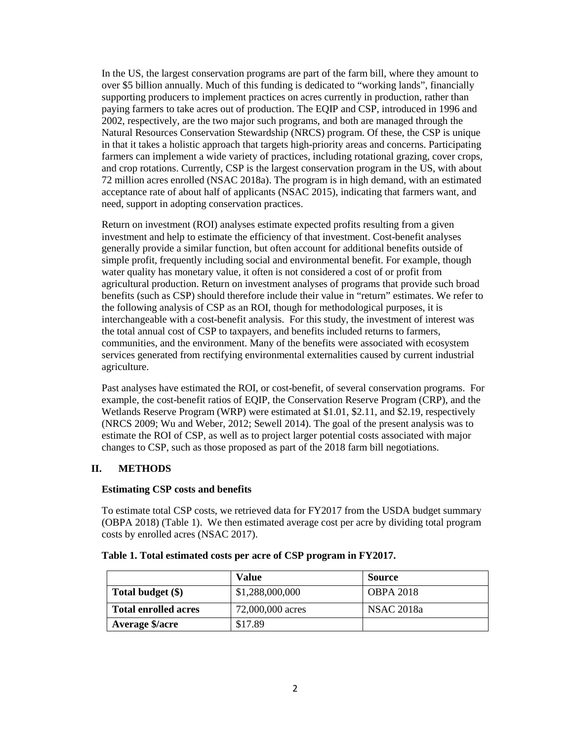In the US, the largest conservation programs are part of the farm bill, where they amount to over \$5 billion annually. Much of this funding is dedicated to "working lands", financially supporting producers to implement practices on acres currently in production, rather than paying farmers to take acres out of production. The EQIP and CSP, introduced in 1996 and 2002, respectively, are the two major such programs, and both are managed through the Natural Resources Conservation Stewardship (NRCS) program. Of these, the CSP is unique in that it takes a holistic approach that targets high-priority areas and concerns. Participating farmers can implement a wide variety of practices, including rotational grazing, cover crops, and crop rotations. Currently, CSP is the largest conservation program in the US, with about 72 million acres enrolled (NSAC 2018a). The program is in high demand, with an estimated acceptance rate of about half of applicants (NSAC 2015), indicating that farmers want, and need, support in adopting conservation practices.

Return on investment (ROI) analyses estimate expected profits resulting from a given investment and help to estimate the efficiency of that investment. Cost-benefit analyses generally provide a similar function, but often account for additional benefits outside of simple profit, frequently including social and environmental benefit. For example, though water quality has monetary value, it often is not considered a cost of or profit from agricultural production. Return on investment analyses of programs that provide such broad benefits (such as CSP) should therefore include their value in "return" estimates. We refer to the following analysis of CSP as an ROI, though for methodological purposes, it is interchangeable with a cost-benefit analysis. For this study, the investment of interest was the total annual cost of CSP to taxpayers, and benefits included returns to farmers, communities, and the environment. Many of the benefits were associated with ecosystem services generated from rectifying environmental externalities caused by current industrial agriculture.

Past analyses have estimated the ROI, or cost-benefit, of several conservation programs. For example, the cost-benefit ratios of EQIP, the Conservation Reserve Program (CRP), and the Wetlands Reserve Program (WRP) were estimated at \$1.01, \$2.11, and \$2.19, respectively (NRCS 2009; Wu and Weber, 2012; Sewell 2014). The goal of the present analysis was to estimate the ROI of CSP, as well as to project larger potential costs associated with major changes to CSP, such as those proposed as part of the 2018 farm bill negotiations.

# **II. METHODS**

# **Estimating CSP costs and benefits**

To estimate total CSP costs, we retrieved data for FY2017 from the USDA budget summary (OBPA 2018) (Table 1). We then estimated average cost per acre by dividing total program costs by enrolled acres (NSAC 2017).

|                             | Value            | <b>Source</b>     |
|-----------------------------|------------------|-------------------|
| Total budget (\$)           | \$1,288,000,000  | <b>OBPA 2018</b>  |
| <b>Total enrolled acres</b> | 72,000,000 acres | <b>NSAC 2018a</b> |
| <b>Average \$/acre</b>      | \$17.89          |                   |

# **Table 1. Total estimated costs per acre of CSP program in FY2017.**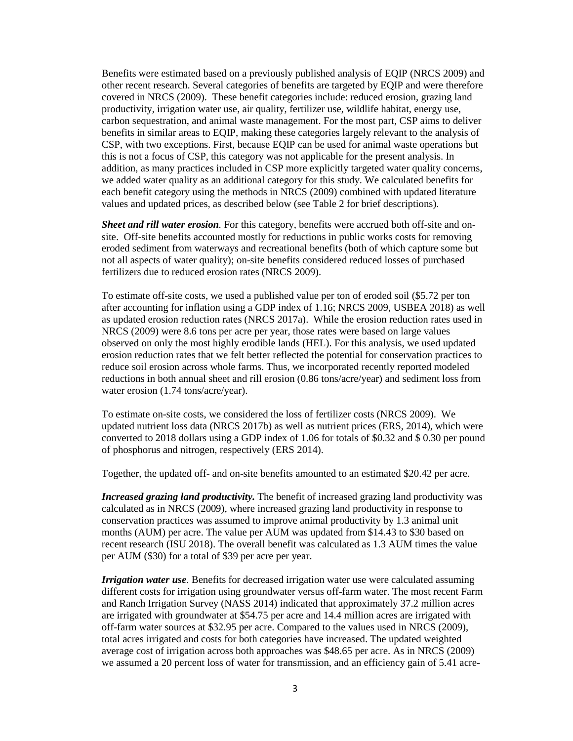Benefits were estimated based on a previously published analysis of EQIP (NRCS 2009) and other recent research. Several categories of benefits are targeted by EQIP and were therefore covered in NRCS (2009). These benefit categories include: reduced erosion, grazing land productivity, irrigation water use, air quality, fertilizer use, wildlife habitat, energy use, carbon sequestration, and animal waste management. For the most part, CSP aims to deliver benefits in similar areas to EQIP, making these categories largely relevant to the analysis of CSP, with two exceptions. First, because EQIP can be used for animal waste operations but this is not a focus of CSP, this category was not applicable for the present analysis. In addition, as many practices included in CSP more explicitly targeted water quality concerns, we added water quality as an additional category for this study. We calculated benefits for each benefit category using the methods in NRCS (2009) combined with updated literature values and updated prices, as described below (see Table 2 for brief descriptions).

*Sheet and rill water erosion.* For this category, benefits were accrued both off-site and onsite. Off-site benefits accounted mostly for reductions in public works costs for removing eroded sediment from waterways and recreational benefits (both of which capture some but not all aspects of water quality); on-site benefits considered reduced losses of purchased fertilizers due to reduced erosion rates (NRCS 2009).

To estimate off-site costs, we used a published value per ton of eroded soil (\$5.72 per ton after accounting for inflation using a GDP index of 1.16; NRCS 2009, USBEA 2018) as well as updated erosion reduction rates (NRCS 2017a). While the erosion reduction rates used in NRCS (2009) were 8.6 tons per acre per year, those rates were based on large values observed on only the most highly erodible lands (HEL). For this analysis, we used updated erosion reduction rates that we felt better reflected the potential for conservation practices to reduce soil erosion across whole farms. Thus, we incorporated recently reported modeled reductions in both annual sheet and rill erosion (0.86 tons/acre/year) and sediment loss from water erosion (1.74 tons/acre/year).

To estimate on-site costs, we considered the loss of fertilizer costs (NRCS 2009). We updated nutrient loss data (NRCS 2017b) as well as nutrient prices (ERS, 2014), which were converted to 2018 dollars using a GDP index of 1.06 for totals of \$0.32 and \$ 0.30 per pound of phosphorus and nitrogen, respectively (ERS 2014).

Together, the updated off- and on-site benefits amounted to an estimated \$20.42 per acre.

*Increased grazing land productivity.* The benefit of increased grazing land productivity was calculated as in NRCS (2009), where increased grazing land productivity in response to conservation practices was assumed to improve animal productivity by 1.3 animal unit months (AUM) per acre. The value per AUM was updated from \$14.43 to \$30 based on recent research (ISU 2018). The overall benefit was calculated as 1.3 AUM times the value per AUM (\$30) for a total of \$39 per acre per year.

*Irrigation water use*. Benefits for decreased irrigation water use were calculated assuming different costs for irrigation using groundwater versus off-farm water. The most recent Farm and Ranch Irrigation Survey (NASS 2014) indicated that approximately 37.2 million acres are irrigated with groundwater at \$54.75 per acre and 14.4 million acres are irrigated with off-farm water sources at \$32.95 per acre. Compared to the values used in NRCS (2009), total acres irrigated and costs for both categories have increased. The updated weighted average cost of irrigation across both approaches was \$48.65 per acre. As in NRCS (2009) we assumed a 20 percent loss of water for transmission, and an efficiency gain of 5.41 acre-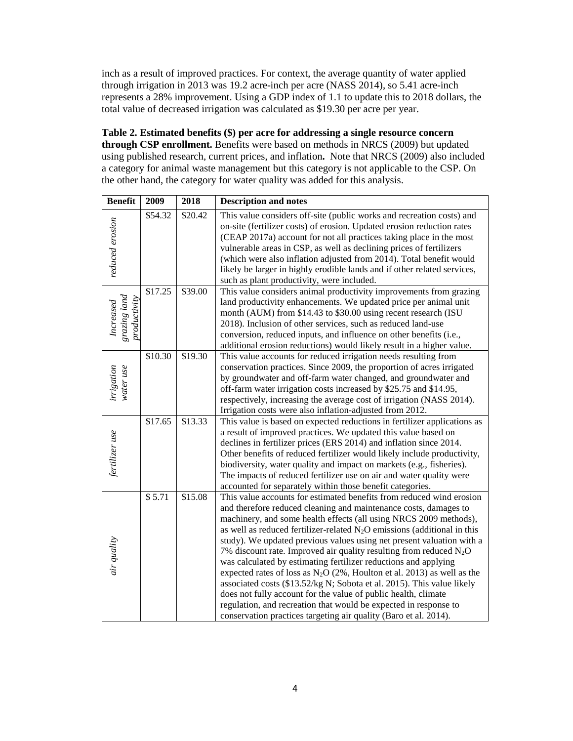inch as a result of improved practices. For context, the average quantity of water applied through irrigation in 2013 was 19.2 acre-inch per acre (NASS 2014), so 5.41 acre-inch represents a 28% improvement. Using a GDP index of 1.1 to update this to 2018 dollars, the total value of decreased irrigation was calculated as \$19.30 per acre per year.

# **Table 2. Estimated benefits (\$) per acre for addressing a single resource concern through CSP enrollment.** Benefits were based on methods in NRCS (2009) but updated using published research, current prices, and inflation**.** Note that NRCS (2009) also included a category for animal waste management but this category is not applicable to the CSP. On the other hand, the category for water quality was added for this analysis.

| <b>Benefit</b>                            | 2009    | 2018    | <b>Description and notes</b>                                                                                                                                                                                                                                                                                                                                                                                                                                                                                                                                                                                                                                                                                                                                                                                                                                                       |
|-------------------------------------------|---------|---------|------------------------------------------------------------------------------------------------------------------------------------------------------------------------------------------------------------------------------------------------------------------------------------------------------------------------------------------------------------------------------------------------------------------------------------------------------------------------------------------------------------------------------------------------------------------------------------------------------------------------------------------------------------------------------------------------------------------------------------------------------------------------------------------------------------------------------------------------------------------------------------|
| reduced erosion                           | \$54.32 | \$20.42 | This value considers off-site (public works and recreation costs) and<br>on-site (fertilizer costs) of erosion. Updated erosion reduction rates<br>(CEAP 2017a) account for not all practices taking place in the most<br>vulnerable areas in CSP, as well as declining prices of fertilizers<br>(which were also inflation adjusted from 2014). Total benefit would<br>likely be larger in highly erodible lands and if other related services,<br>such as plant productivity, were included.                                                                                                                                                                                                                                                                                                                                                                                     |
| grazing land<br>productivity<br>Increased | \$17.25 | \$39.00 | This value considers animal productivity improvements from grazing<br>land productivity enhancements. We updated price per animal unit<br>month (AUM) from \$14.43 to \$30.00 using recent research (ISU<br>2018). Inclusion of other services, such as reduced land-use<br>conversion, reduced inputs, and influence on other benefits (i.e.,<br>additional erosion reductions) would likely result in a higher value.                                                                                                                                                                                                                                                                                                                                                                                                                                                            |
| irrigation<br>water use                   | \$10.30 | \$19.30 | This value accounts for reduced irrigation needs resulting from<br>conservation practices. Since 2009, the proportion of acres irrigated<br>by groundwater and off-farm water changed, and groundwater and<br>off-farm water irrigation costs increased by \$25.75 and \$14.95,<br>respectively, increasing the average cost of irrigation (NASS 2014).<br>Irrigation costs were also inflation-adjusted from 2012.                                                                                                                                                                                                                                                                                                                                                                                                                                                                |
| fertilizer use                            | \$17.65 | \$13.33 | This value is based on expected reductions in fertilizer applications as<br>a result of improved practices. We updated this value based on<br>declines in fertilizer prices (ERS 2014) and inflation since 2014.<br>Other benefits of reduced fertilizer would likely include productivity,<br>biodiversity, water quality and impact on markets (e.g., fisheries).<br>The impacts of reduced fertilizer use on air and water quality were<br>accounted for separately within those benefit categories.                                                                                                                                                                                                                                                                                                                                                                            |
| air quality                               | \$5.71  | \$15.08 | This value accounts for estimated benefits from reduced wind erosion<br>and therefore reduced cleaning and maintenance costs, damages to<br>machinery, and some health effects (all using NRCS 2009 methods),<br>as well as reduced fertilizer-related $N_2O$ emissions (additional in this<br>study). We updated previous values using net present valuation with a<br>7% discount rate. Improved air quality resulting from reduced $N_2O$<br>was calculated by estimating fertilizer reductions and applying<br>expected rates of loss as $N_2O(2\%)$ , Houlton et al. 2013) as well as the<br>associated costs (\$13.52/kg N; Sobota et al. 2015). This value likely<br>does not fully account for the value of public health, climate<br>regulation, and recreation that would be expected in response to<br>conservation practices targeting air quality (Baro et al. 2014). |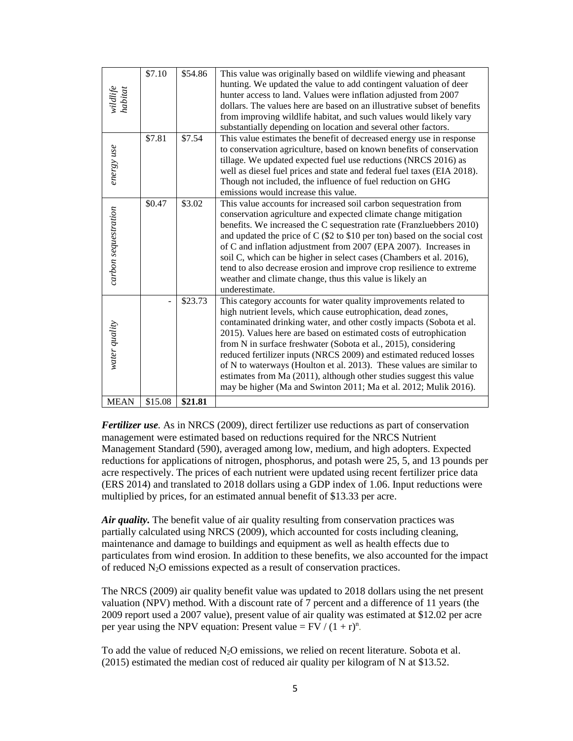| wildlife<br>habitat  | \$7.10  | \$54.86 | This value was originally based on wildlife viewing and pheasant<br>hunting. We updated the value to add contingent valuation of deer<br>hunter access to land. Values were inflation adjusted from 2007<br>dollars. The values here are based on an illustrative subset of benefits<br>from improving wildlife habitat, and such values would likely vary<br>substantially depending on location and several other factors.                                                                                                                                                                                                               |
|----------------------|---------|---------|--------------------------------------------------------------------------------------------------------------------------------------------------------------------------------------------------------------------------------------------------------------------------------------------------------------------------------------------------------------------------------------------------------------------------------------------------------------------------------------------------------------------------------------------------------------------------------------------------------------------------------------------|
| energy use           | \$7.81  | \$7.54  | This value estimates the benefit of decreased energy use in response<br>to conservation agriculture, based on known benefits of conservation<br>tillage. We updated expected fuel use reductions (NRCS 2016) as<br>well as diesel fuel prices and state and federal fuel taxes (EIA 2018).<br>Though not included, the influence of fuel reduction on GHG<br>emissions would increase this value.                                                                                                                                                                                                                                          |
| carbon sequestration | \$0.47  | \$3.02  | This value accounts for increased soil carbon sequestration from<br>conservation agriculture and expected climate change mitigation<br>benefits. We increased the C sequestration rate (Franzluebbers 2010)<br>and updated the price of $C$ (\$2 to \$10 per ton) based on the social cost<br>of C and inflation adjustment from 2007 (EPA 2007). Increases in<br>soil C, which can be higher in select cases (Chambers et al. 2016),<br>tend to also decrease erosion and improve crop resilience to extreme<br>weather and climate change, thus this value is likely an<br>underestimate.                                                |
| water quality        |         | \$23.73 | This category accounts for water quality improvements related to<br>high nutrient levels, which cause eutrophication, dead zones,<br>contaminated drinking water, and other costly impacts (Sobota et al.<br>2015). Values here are based on estimated costs of eutrophication<br>from N in surface freshwater (Sobota et al., 2015), considering<br>reduced fertilizer inputs (NRCS 2009) and estimated reduced losses<br>of N to waterways (Houlton et al. 2013). These values are similar to<br>estimates from Ma (2011), although other studies suggest this value<br>may be higher (Ma and Swinton 2011; Ma et al. 2012; Mulik 2016). |
| <b>MEAN</b>          | \$15.08 | \$21.81 |                                                                                                                                                                                                                                                                                                                                                                                                                                                                                                                                                                                                                                            |

*Fertilizer use.* As in NRCS (2009), direct fertilizer use reductions as part of conservation management were estimated based on reductions required for the NRCS Nutrient Management Standard (590), averaged among low, medium, and high adopters. Expected reductions for applications of nitrogen, phosphorus, and potash were 25, 5, and 13 pounds per acre respectively. The prices of each nutrient were updated using recent fertilizer price data (ERS 2014) and translated to 2018 dollars using a GDP index of 1.06. Input reductions were multiplied by prices, for an estimated annual benefit of \$13.33 per acre.

Air quality. The benefit value of air quality resulting from conservation practices was partially calculated using NRCS (2009), which accounted for costs including cleaning, maintenance and damage to buildings and equipment as well as health effects due to particulates from wind erosion. In addition to these benefits, we also accounted for the impact of reduced N2O emissions expected as a result of conservation practices.

The NRCS (2009) air quality benefit value was updated to 2018 dollars using the net present valuation (NPV) method. With a discount rate of 7 percent and a difference of 11 years (the 2009 report used a 2007 value), present value of air quality was estimated at \$12.02 per acre per year using the NPV equation: Present value =  $FV / (1 + r)^n$ .

To add the value of reduced  $N_2O$  emissions, we relied on recent literature. Sobota et al. (2015) estimated the median cost of reduced air quality per kilogram of N at \$13.52.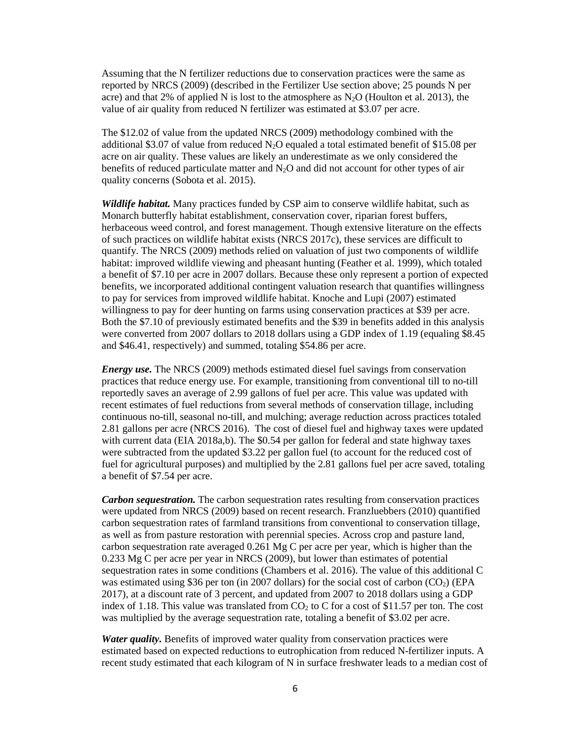Assuming that the N fertilizer reductions due to conservation practices were the same as reported by NRCS (2009) (described in the Fertilizer Use section above; 25 pounds N per acre) and that 2% of applied N is lost to the atmosphere as  $N_2O$  (Houlton et al. 2013), the value of air quality from reduced N fertilizer was estimated at \$3.07 per acre.

The \$12.02 of value from the updated NRCS (2009) methodology combined with the additional \$3.07 of value from reduced  $N_2O$  equaled a total estimated benefit of \$15.08 per acre on air quality. These values are likely an underestimate as we only considered the benefits of reduced particulate matter and  $N_2O$  and did not account for other types of air quality concerns (Sobota et al. 2015).

*Wildlife habitat.* Many practices funded by CSP aim to conserve wildlife habitat, such as Monarch butterfly habitat establishment, conservation cover, riparian forest buffers, herbaceous weed control, and forest management. Though extensive literature on the effects of such practices on wildlife habitat exists (NRCS 2017c), these services are difficult to quantify. The NRCS (2009) methods relied on valuation of just two components of wildlife habitat: improved wildlife viewing and pheasant hunting (Feather et al. 1999), which totaled a benefit of \$7.10 per acre in 2007 dollars. Because these only represent a portion of expected benefits, we incorporated additional contingent valuation research that quantifies willingness to pay for services from improved wildlife habitat. Knoche and Lupi (2007) estimated willingness to pay for deer hunting on farms using conservation practices at \$39 per acre. Both the \$7.10 of previously estimated benefits and the \$39 in benefits added in this analysis were converted from 2007 dollars to 2018 dollars using a GDP index of 1.19 (equaling \$8.45 and \$46.41, respectively) and summed, totaling \$54.86 per acre.

*Energy use.* The NRCS (2009) methods estimated diesel fuel savings from conservation practices that reduce energy use. For example, transitioning from conventional till to no-till reportedly saves an average of 2.99 gallons of fuel per acre. This value was updated with recent estimates of fuel reductions from several methods of conservation tillage, including continuous no-till, seasonal no-till, and mulching; average reduction across practices totaled 2.81 gallons per acre (NRCS 2016). The cost of diesel fuel and highway taxes were updated with current data (EIA 2018a,b). The \$0.54 per gallon for federal and state highway taxes were subtracted from the updated \$3.22 per gallon fuel (to account for the reduced cost of fuel for agricultural purposes) and multiplied by the 2.81 gallons fuel per acre saved, totaling a benefit of \$7.54 per acre.

*Carbon sequestration.* The carbon sequestration rates resulting from conservation practices were updated from NRCS (2009) based on recent research. Franzluebbers (2010) quantified carbon sequestration rates of farmland transitions from conventional to conservation tillage, as well as from pasture restoration with perennial species. Across crop and pasture land, carbon sequestration rate averaged 0.261 Mg C per acre per year, which is higher than the 0.233 Mg C per acre per year in NRCS (2009), but lower than estimates of potential sequestration rates in some conditions (Chambers et al. 2016). The value of this additional C was estimated using \$36 per ton (in 2007 dollars) for the social cost of carbon  $(CO<sub>2</sub>)$  (EPA 2017), at a discount rate of 3 percent, and updated from 2007 to 2018 dollars using a GDP index of 1.18. This value was translated from  $CO<sub>2</sub>$  to C for a cost of \$11.57 per ton. The cost was multiplied by the average sequestration rate, totaling a benefit of \$3.02 per acre.

*Water quality.* Benefits of improved water quality from conservation practices were estimated based on expected reductions to eutrophication from reduced N-fertilizer inputs. A recent study estimated that each kilogram of N in surface freshwater leads to a median cost of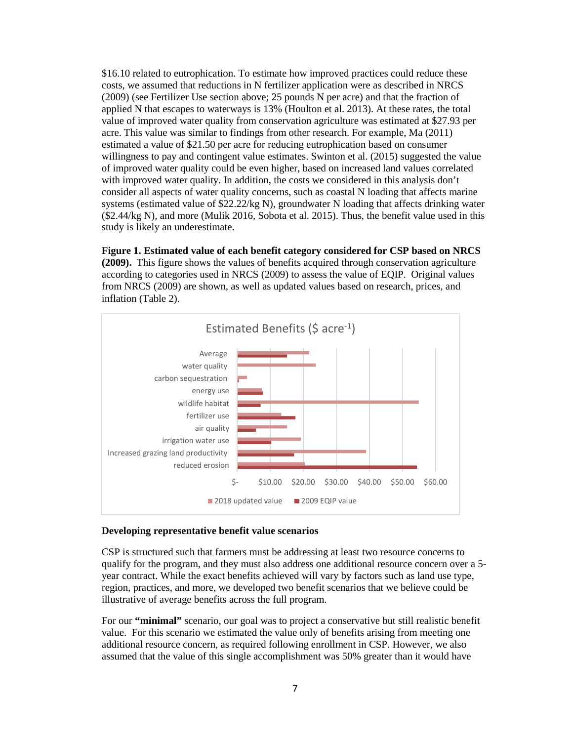\$16.10 related to eutrophication. To estimate how improved practices could reduce these costs, we assumed that reductions in N fertilizer application were as described in NRCS (2009) (see Fertilizer Use section above; 25 pounds N per acre) and that the fraction of applied N that escapes to waterways is 13% (Houlton et al. 2013). At these rates, the total value of improved water quality from conservation agriculture was estimated at \$27.93 per acre. This value was similar to findings from other research. For example, Ma (2011) estimated a value of \$21.50 per acre for reducing eutrophication based on consumer willingness to pay and contingent value estimates. Swinton et al. (2015) suggested the value of improved water quality could be even higher, based on increased land values correlated with improved water quality. In addition, the costs we considered in this analysis don't consider all aspects of water quality concerns, such as coastal N loading that affects marine systems (estimated value of \$22.22/kg N), groundwater N loading that affects drinking water (\$2.44/kg N), and more (Mulik 2016, Sobota et al. 2015). Thus, the benefit value used in this study is likely an underestimate.

**Figure 1. Estimated value of each benefit category considered for CSP based on NRCS (2009).** This figure shows the values of benefits acquired through conservation agriculture according to categories used in NRCS (2009) to assess the value of EQIP. Original values from NRCS (2009) are shown, as well as updated values based on research, prices, and inflation (Table 2).



#### **Developing representative benefit value scenarios**

CSP is structured such that farmers must be addressing at least two resource concerns to qualify for the program, and they must also address one additional resource concern over a 5 year contract. While the exact benefits achieved will vary by factors such as land use type, region, practices, and more, we developed two benefit scenarios that we believe could be illustrative of average benefits across the full program.

For our **"minimal"** scenario, our goal was to project a conservative but still realistic benefit value. For this scenario we estimated the value only of benefits arising from meeting one additional resource concern, as required following enrollment in CSP. However, we also assumed that the value of this single accomplishment was 50% greater than it would have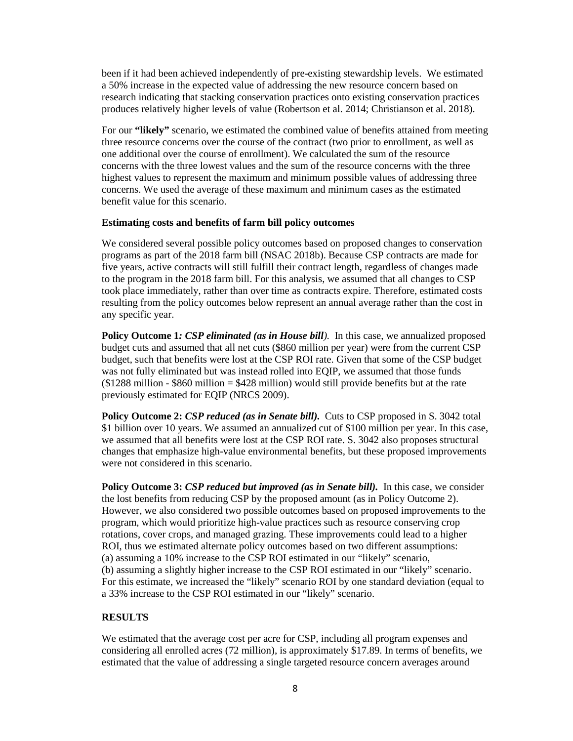been if it had been achieved independently of pre-existing stewardship levels. We estimated a 50% increase in the expected value of addressing the new resource concern based on research indicating that stacking conservation practices onto existing conservation practices produces relatively higher levels of value (Robertson et al. 2014; Christianson et al. 2018).

For our **"likely"** scenario, we estimated the combined value of benefits attained from meeting three resource concerns over the course of the contract (two prior to enrollment, as well as one additional over the course of enrollment). We calculated the sum of the resource concerns with the three lowest values and the sum of the resource concerns with the three highest values to represent the maximum and minimum possible values of addressing three concerns. We used the average of these maximum and minimum cases as the estimated benefit value for this scenario.

#### **Estimating costs and benefits of farm bill policy outcomes**

We considered several possible policy outcomes based on proposed changes to conservation programs as part of the 2018 farm bill (NSAC 2018b). Because CSP contracts are made for five years, active contracts will still fulfill their contract length, regardless of changes made to the program in the 2018 farm bill. For this analysis, we assumed that all changes to CSP took place immediately, rather than over time as contracts expire. Therefore, estimated costs resulting from the policy outcomes below represent an annual average rather than the cost in any specific year.

**Policy Outcome 1***: CSP eliminated (as in House bill).* In this case, we annualized proposed budget cuts and assumed that all net cuts (\$860 million per year) were from the current CSP budget, such that benefits were lost at the CSP ROI rate. Given that some of the CSP budget was not fully eliminated but was instead rolled into EQIP, we assumed that those funds  $$1288$  million - \$860 million = \$428 million) would still provide benefits but at the rate previously estimated for EQIP (NRCS 2009).

Policy Outcome 2: *CSP reduced (as in Senate bill)*. Cuts to CSP proposed in S. 3042 total \$1 billion over 10 years. We assumed an annualized cut of \$100 million per year. In this case, we assumed that all benefits were lost at the CSP ROI rate. S. 3042 also proposes structural changes that emphasize high-value environmental benefits, but these proposed improvements were not considered in this scenario.

**Policy Outcome 3:** *CSP reduced but improved (as in Senate bill).* In this case, we consider the lost benefits from reducing CSP by the proposed amount (as in Policy Outcome 2). However, we also considered two possible outcomes based on proposed improvements to the program, which would prioritize high-value practices such as resource conserving crop rotations, cover crops, and managed grazing. These improvements could lead to a higher ROI, thus we estimated alternate policy outcomes based on two different assumptions: (a) assuming a 10% increase to the CSP ROI estimated in our "likely" scenario, (b) assuming a slightly higher increase to the CSP ROI estimated in our "likely" scenario. For this estimate, we increased the "likely" scenario ROI by one standard deviation (equal to a 33% increase to the CSP ROI estimated in our "likely" scenario.

#### **RESULTS**

We estimated that the average cost per acre for CSP, including all program expenses and considering all enrolled acres (72 million), is approximately \$17.89. In terms of benefits, we estimated that the value of addressing a single targeted resource concern averages around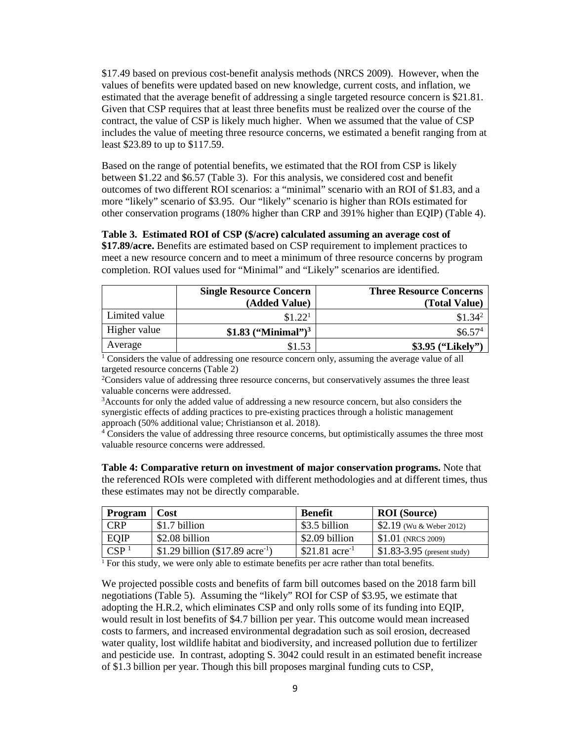\$17.49 based on previous cost-benefit analysis methods (NRCS 2009). However, when the values of benefits were updated based on new knowledge, current costs, and inflation, we estimated that the average benefit of addressing a single targeted resource concern is \$21.81. Given that CSP requires that at least three benefits must be realized over the course of the contract, the value of CSP is likely much higher. When we assumed that the value of CSP includes the value of meeting three resource concerns, we estimated a benefit ranging from at least \$23.89 to up to \$117.59.

Based on the range of potential benefits, we estimated that the ROI from CSP is likely between \$1.22 and \$6.57 (Table 3). For this analysis, we considered cost and benefit outcomes of two different ROI scenarios: a "minimal" scenario with an ROI of \$1.83, and a more "likely" scenario of \$3.95. Our "likely" scenario is higher than ROIs estimated for other conservation programs (180% higher than CRP and 391% higher than EQIP) (Table 4).

#### **Table 3. Estimated ROI of CSP (\$/acre) calculated assuming an average cost of \$17.89/acre.** Benefits are estimated based on CSP requirement to implement practices to

meet a new resource concern and to meet a minimum of three resource concerns by program completion. ROI values used for "Minimal" and "Likely" scenarios are identified.

|               | <b>Single Resource Concern</b><br>(Added Value) | <b>Three Resource Concerns</b><br>(Total Value) |
|---------------|-------------------------------------------------|-------------------------------------------------|
| Limited value | \$1.22 <sup>1</sup>                             | $$1.34^2$                                       |
| Higher value  | \$1.83 $($ "Minimal" $)^3$                      | \$6.57 <sup>4</sup>                             |
| Average       | \$1.53                                          | \$3.95 ("Likely")                               |

<sup>1</sup> Considers the value of addressing one resource concern only, assuming the average value of all targeted resource concerns (Table 2)

<sup>2</sup>Considers value of addressing three resource concerns, but conservatively assumes the three least valuable concerns were addressed.

<sup>3</sup> Accounts for only the added value of addressing a new resource concern, but also considers the synergistic effects of adding practices to pre-existing practices through a holistic management approach (50% additional value; Christianson et al. 2018).

<sup>4</sup> Considers the value of addressing three resource concerns, but optimistically assumes the three most valuable resource concerns were addressed.

**Table 4: Comparative return on investment of major conservation programs.** Note that the referenced ROIs were completed with different methodologies and at different times, thus these estimates may not be directly comparable.

| <b>Program</b>   | <b>Cost</b>                                  | <b>Benefit</b>      | <b>ROI</b> (Source)          |
|------------------|----------------------------------------------|---------------------|------------------------------|
| CRP              | \$1.7 billion                                | \$3.5 billion       | $$2.19$ (Wu & Weber 2012)    |
| <b>EQIP</b>      | \$2.08 billion                               | \$2.09 billion      | $$1.01$ (NRCS 2009)          |
| CSP <sup>1</sup> | \$1.29 billion (\$17.89 acre <sup>-1</sup> ) | \$21.81 $\arctan 2$ | $$1.83-3.95$ (present study) |

<sup>1</sup> For this study, we were only able to estimate benefits per acre rather than total benefits.

We projected possible costs and benefits of farm bill outcomes based on the 2018 farm bill negotiations (Table 5). Assuming the "likely" ROI for CSP of \$3.95, we estimate that adopting the H.R.2, which eliminates CSP and only rolls some of its funding into EQIP, would result in lost benefits of \$4.7 billion per year. This outcome would mean increased costs to farmers, and increased environmental degradation such as soil erosion, decreased water quality, lost wildlife habitat and biodiversity, and increased pollution due to fertilizer and pesticide use. In contrast, adopting S. 3042 could result in an estimated benefit increase of \$1.3 billion per year. Though this bill proposes marginal funding cuts to CSP,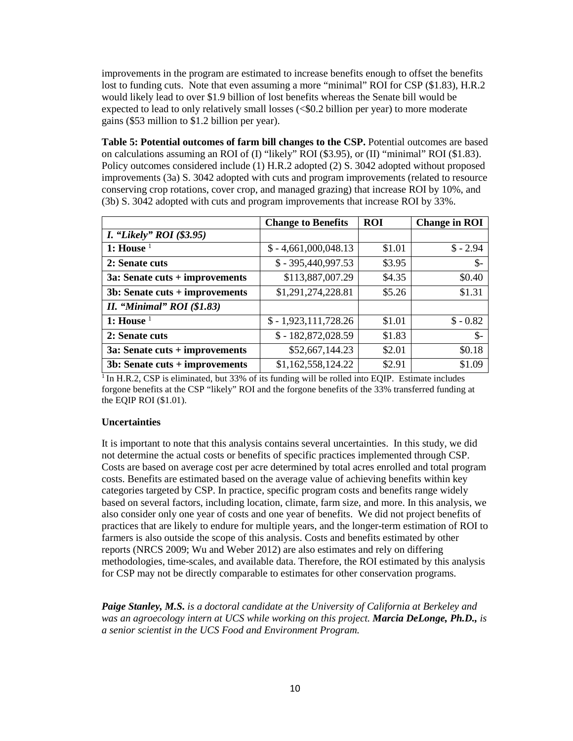improvements in the program are estimated to increase benefits enough to offset the benefits lost to funding cuts. Note that even assuming a more "minimal" ROI for CSP (\$1.83), H.R.2 would likely lead to over \$1.9 billion of lost benefits whereas the Senate bill would be expected to lead to only relatively small losses (<\$0.2 billion per year) to more moderate gains (\$53 million to \$1.2 billion per year).

**Table 5: Potential outcomes of farm bill changes to the CSP.** Potential outcomes are based on calculations assuming an ROI of (I) "likely" ROI (\$3.95), or (II) "minimal" ROI (\$1.83). Policy outcomes considered include (1) H.R.2 adopted (2) S. 3042 adopted without proposed improvements (3a) S. 3042 adopted with cuts and program improvements (related to resource conserving crop rotations, cover crop, and managed grazing) that increase ROI by 10%, and (3b) S. 3042 adopted with cuts and program improvements that increase ROI by 33%.

|                                   | <b>Change to Benefits</b> | <b>ROI</b> | <b>Change in ROI</b> |
|-----------------------------------|---------------------------|------------|----------------------|
| <i>I.</i> "Likely" ROI $(\$3.95)$ |                           |            |                      |
| 1: House $1$                      | $$-4,661,000,048.13$      | \$1.01     | $$ -2.94$            |
| 2: Senate cuts                    | $$ -395,440,997.53$       | \$3.95     | $\mathcal{S}$ -      |
| $3a:$ Senate cuts + improvements  | \$113,887,007.29          | \$4.35     | \$0.40               |
| $3b:$ Senate cuts + improvements  | \$1,291,274,228.81        | \$5.26     | \$1.31               |
| II. "Minimal" $ROI($1.83)$        |                           |            |                      |
| 1: House $1$                      | $$-1,923,111,728.26$      | \$1.01     | $$ -0.82$            |
| 2: Senate cuts                    | $$-182,872,028.59$        | \$1.83     | $\frac{1}{2}$        |
| 3a: Senate cuts + improvements    | \$52,667,144.23           | \$2.01     | \$0.18               |
| $3b:$ Senate cuts + improvements  | \$1,162,558,124.22        | \$2.91     | \$1.09               |

<sup>1</sup> In H.R.2, CSP is eliminated, but 33% of its funding will be rolled into EQIP. Estimate includes forgone benefits at the CSP "likely" ROI and the forgone benefits of the 33% transferred funding at the EQIP ROI (\$1.01).

# **Uncertainties**

It is important to note that this analysis contains several uncertainties. In this study, we did not determine the actual costs or benefits of specific practices implemented through CSP. Costs are based on average cost per acre determined by total acres enrolled and total program costs. Benefits are estimated based on the average value of achieving benefits within key categories targeted by CSP. In practice, specific program costs and benefits range widely based on several factors, including location, climate, farm size, and more. In this analysis, we also consider only one year of costs and one year of benefits. We did not project benefits of practices that are likely to endure for multiple years, and the longer-term estimation of ROI to farmers is also outside the scope of this analysis. Costs and benefits estimated by other reports (NRCS 2009; Wu and Weber 2012) are also estimates and rely on differing methodologies, time-scales, and available data. Therefore, the ROI estimated by this analysis for CSP may not be directly comparable to estimates for other conservation programs.

*Paige Stanley, M.S. is a doctoral candidate at the University of California at Berkeley and was an agroecology intern at UCS while working on this project. Marcia DeLonge, Ph.D., is a senior scientist in the UCS Food and Environment Program.*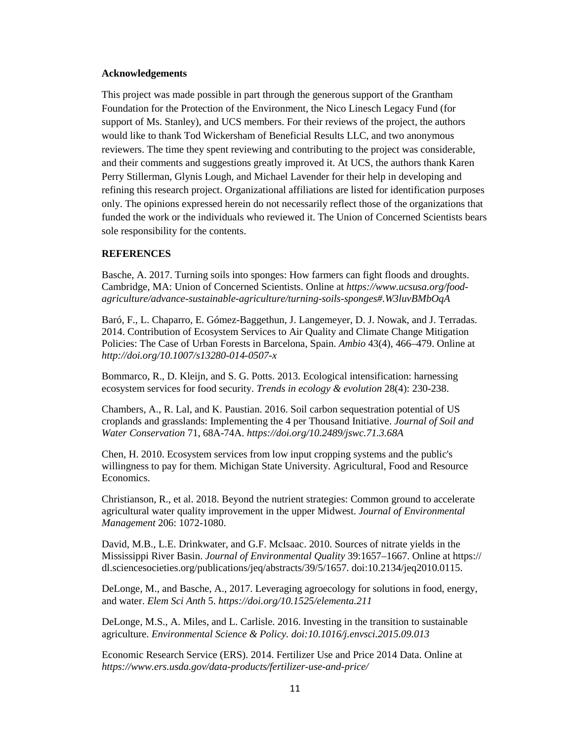#### **Acknowledgements**

This project was made possible in part through the generous support of the Grantham Foundation for the Protection of the Environment, the Nico Linesch Legacy Fund (for support of Ms. Stanley), and UCS members. For their reviews of the project, the authors would like to thank Tod Wickersham of Beneficial Results LLC, and two anonymous reviewers. The time they spent reviewing and contributing to the project was considerable, and their comments and suggestions greatly improved it. At UCS, the authors thank Karen Perry Stillerman, Glynis Lough, and Michael Lavender for their help in developing and refining this research project. Organizational affiliations are listed for identification purposes only. The opinions expressed herein do not necessarily reflect those of the organizations that funded the work or the individuals who reviewed it. The Union of Concerned Scientists bears sole responsibility for the contents.

#### **REFERENCES**

Basche, A. 2017. Turning soils into sponges: How farmers can fight floods and droughts. Cambridge, MA: Union of Concerned Scientists. Online at *https://www.ucsusa.org/foodagriculture/advance-sustainable-agriculture/turning-soils-sponges#.W3luvBMbOqA*

Baró, F., L. Chaparro, E. Gómez-Baggethun, J. Langemeyer, D. J. Nowak, and J. Terradas. 2014. Contribution of Ecosystem Services to Air Quality and Climate Change Mitigation Policies: The Case of Urban Forests in Barcelona, Spain. *Ambio* 43(4), 466–479. Online at *<http://doi.org/10.1007/s13280-014-0507-x>*

Bommarco, R., D. Kleijn, and S. G. Potts. 2013. Ecological intensification: harnessing ecosystem services for food security. *Trends in ecology & evolution* 28(4): 230-238.

Chambers, A., R. Lal, and K. Paustian. 2016. Soil carbon sequestration potential of US croplands and grasslands: Implementing the 4 per Thousand Initiative. *Journal of Soil and Water Conservation* 71, 68A-74A. *<https://doi.org/10.2489/jswc.71.3.68A>*

Chen, H. 2010. Ecosystem services from low input cropping systems and the public's willingness to pay for them. Michigan State University. Agricultural, Food and Resource Economics.

Christianson, R., et al. 2018. Beyond the nutrient strategies: Common ground to accelerate agricultural water quality improvement in the upper Midwest. *Journal of Environmental Management* 206: 1072-1080.

David, M.B., L.E. Drinkwater, and G.F. McIsaac. 2010. Sources of nitrate yields in the Mississippi River Basin. *Journal of Environmental Quality* 39:1657–1667. Online at https:// dl.sciencesocieties.org/publications/jeq/abstracts/39/5/1657. doi:10.2134/jeq2010.0115.

DeLonge, M., and Basche, A., 2017. Leveraging agroecology for solutions in food, energy, and water. *Elem Sci Anth* 5. *<https://doi.org/10.1525/elementa.211>*

DeLonge, M.S., A. Miles, and L. Carlisle. 2016. Investing in the transition to sustainable agriculture. *Environmental Science & Policy. doi:10.1016/j.envsci.2015.09.013*

Economic Research Service (ERS). 2014. Fertilizer Use and Price 2014 Data. Online at *<https://www.ers.usda.gov/data-products/fertilizer-use-and-price/>*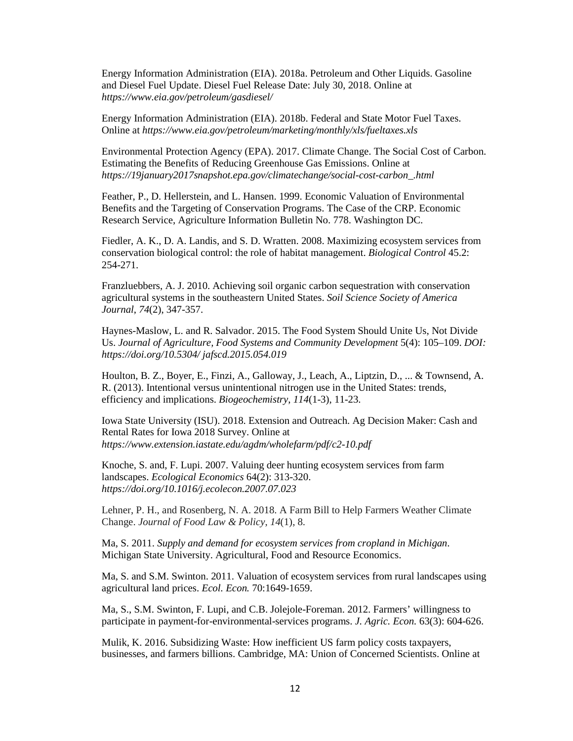Energy Information Administration (EIA). 2018a. Petroleum and Other Liquids. Gasoline and Diesel Fuel Update. Diesel Fuel Release Date: July 30, 2018. Online at *<https://www.eia.gov/petroleum/gasdiesel/>*

Energy Information Administration (EIA). 2018b. Federal and State Motor Fuel Taxes. Online at *<https://www.eia.gov/petroleum/marketing/monthly/xls/fueltaxes.xls>*

Environmental Protection Agency (EPA). 2017. Climate Change. The Social Cost of Carbon. Estimating the Benefits of Reducing Greenhouse Gas Emissions. Online at *https://19january2017snapshot.epa.gov/climatechange/social-cost-carbon\_.html*

Feather, P., D. Hellerstein, and L. Hansen. 1999. Economic Valuation of Environmental Benefits and the Targeting of Conservation Programs. The Case of the CRP. Economic Research Service, Agriculture Information Bulletin No. 778. Washington DC.

Fiedler, A. K., D. A. Landis, and S. D. Wratten. 2008. Maximizing ecosystem services from conservation biological control: the role of habitat management. *Biological Control* 45.2: 254-271.

Franzluebbers, A. J. 2010. Achieving soil organic carbon sequestration with conservation agricultural systems in the southeastern United States. *Soil Science Society of America Journal*, *74*(2), 347-357.

Haynes-Maslow, L. and R. Salvador. 2015. The Food System Should Unite Us, Not Divide Us. *Journal of Agriculture, Food Systems and Community Development* 5(4): 105–109. *DOI: <https://doi.org/10.5304/> jafscd.2015.054.019*

Houlton, B. Z., Boyer, E., Finzi, A., Galloway, J., Leach, A., Liptzin, D., ... & Townsend, A. R. (2013). Intentional versus unintentional nitrogen use in the United States: trends, efficiency and implications. *Biogeochemistry*, *114*(1-3), 11-23.

Iowa State University (ISU). 2018. Extension and Outreach. Ag Decision Maker: Cash and Rental Rates for Iowa 2018 Survey. Online at *<https://www.extension.iastate.edu/agdm/wholefarm/pdf/c2-10.pdf>*

Knoche, S. and, F. Lupi. 2007. Valuing deer hunting ecosystem services from farm landscapes. *Ecological Economics* 64(2): 313-320. *<https://doi.org/10.1016/j.ecolecon.2007.07.023>*

Lehner, P. H., and Rosenberg, N. A. 2018. A Farm Bill to Help Farmers Weather Climate Change. *Journal of Food Law & Policy*, *14*(1), 8.

Ma, S. 2011. *Supply and demand for ecosystem services from cropland in Michigan*. Michigan State University. Agricultural, Food and Resource Economics.

Ma, S. and S.M. Swinton. 2011. Valuation of ecosystem services from rural landscapes using agricultural land prices. *Ecol. Econ.* 70:1649-1659.

Ma, S., S.M. Swinton, F. Lupi, and C.B. Jolejole-Foreman. 2012. Farmers' willingness to participate in payment-for-environmental-services programs. *J. Agric. Econ.* 63(3): 604-626.

Mulik, K. 2016. Subsidizing Waste: How inefficient US farm policy costs taxpayers, businesses, and farmers billions. Cambridge, MA: Union of Concerned Scientists. Online at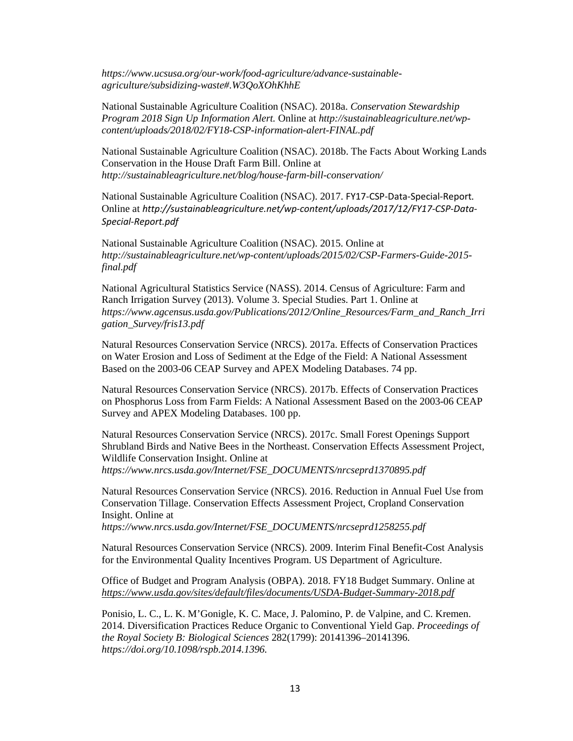*https://www.ucsusa.org/our-work/food-agriculture/advance-sustainableagriculture/subsidizing-waste#.W3QoXOhKhhE*

National Sustainable Agriculture Coalition (NSAC). 2018a. *Conservation Stewardship Program 2018 Sign Up Information Alert.* Online at *[http://sustainableagriculture.net/wp](http://sustainableagriculture.net/wp-content/uploads/2018/02/FY18-CSP-information-alert-FINAL.pdf)[content/uploads/2018/02/FY18-CSP-information-alert-FINAL.pdf](http://sustainableagriculture.net/wp-content/uploads/2018/02/FY18-CSP-information-alert-FINAL.pdf)*

National Sustainable Agriculture Coalition (NSAC). 2018b. The Facts About Working Lands Conservation in the House Draft Farm Bill. Online at *http://sustainableagriculture.net/blog/house-farm-bill-conservation/*

National Sustainable Agriculture Coalition (NSAC). 2017. FY17-CSP-Data-Special-Report*.*  Online at *[http://sustainableagriculture.net/wp-content/uploads/2017/12/FY17-CSP-Data-](http://sustainableagriculture.net/wp-content/uploads/2017/12/FY17-CSP-Data-Special-Report.pdf)[Special-Report.pdf](http://sustainableagriculture.net/wp-content/uploads/2017/12/FY17-CSP-Data-Special-Report.pdf)*

National Sustainable Agriculture Coalition (NSAC). 2015. Online at *[http://sustainableagriculture.net/wp-content/uploads/2015/02/CSP-Farmers-Guide-2015](http://sustainableagriculture.net/wp-content/uploads/2015/02/CSP-Farmers-Guide-2015-final.pdf) [final.pdf](http://sustainableagriculture.net/wp-content/uploads/2015/02/CSP-Farmers-Guide-2015-final.pdf)*

National Agricultural Statistics Service (NASS). 2014. Census of Agriculture: Farm and Ranch Irrigation Survey (2013). Volume 3. Special Studies. Part 1. Online at *[https://www.agcensus.usda.gov/Publications/2012/Online\\_Resources/Farm\\_and\\_Ranch\\_Irri](https://www.agcensus.usda.gov/Publications/2012/Online_Resources/Farm_and_Ranch_Irrigation_Survey/fris13.pdf) [gation\\_Survey/fris13.pdf](https://www.agcensus.usda.gov/Publications/2012/Online_Resources/Farm_and_Ranch_Irrigation_Survey/fris13.pdf)*

Natural Resources Conservation Service (NRCS). 2017a. Effects of Conservation Practices on Water Erosion and Loss of Sediment at the Edge of the Field: A National Assessment Based on the 2003-06 CEAP Survey and APEX Modeling Databases. 74 pp.

Natural Resources Conservation Service (NRCS). 2017b. Effects of Conservation Practices on Phosphorus Loss from Farm Fields: A National Assessment Based on the 2003-06 CEAP Survey and APEX Modeling Databases. 100 pp.

Natural Resources Conservation Service (NRCS). 2017c. Small Forest Openings Support Shrubland Birds and Native Bees in the Northeast. Conservation Effects Assessment Project, Wildlife Conservation Insight. Online at *[https://www.nrcs.usda.gov/Internet/FSE\\_DOCUMENTS/nrcseprd1370895.pdf](https://www.nrcs.usda.gov/Internet/FSE_DOCUMENTS/nrcseprd1370895.pdf)*

Natural Resources Conservation Service (NRCS). 2016. Reduction in Annual Fuel Use from Conservation Tillage. Conservation Effects Assessment Project, Cropland Conservation Insight. Online at

*[https://www.nrcs.usda.gov/Internet/FSE\\_DOCUMENTS/nrcseprd1258255.pdf](https://www.nrcs.usda.gov/Internet/FSE_DOCUMENTS/nrcseprd1258255.pdf)*

Natural Resources Conservation Service (NRCS). 2009. Interim Final Benefit-Cost Analysis for the Environmental Quality Incentives Program. US Department of Agriculture.

Office of Budget and Program Analysis (OBPA). 2018. FY18 Budget Summary. Online at *<https://www.usda.gov/sites/default/files/documents/USDA-Budget-Summary-2018.pdf>*

Ponisio, L. C., L. K. M'Gonigle, K. C. Mace, J. Palomino, P. de Valpine, and C. Kremen. 2014. Diversification Practices Reduce Organic to Conventional Yield Gap. *Proceedings of the Royal Society B: Biological Sciences* 282(1799): 20141396–20141396. *[https://doi.org/10.1098/rspb.2014.1396.](https://doi.org/10.1098/rspb.2014.1396)*